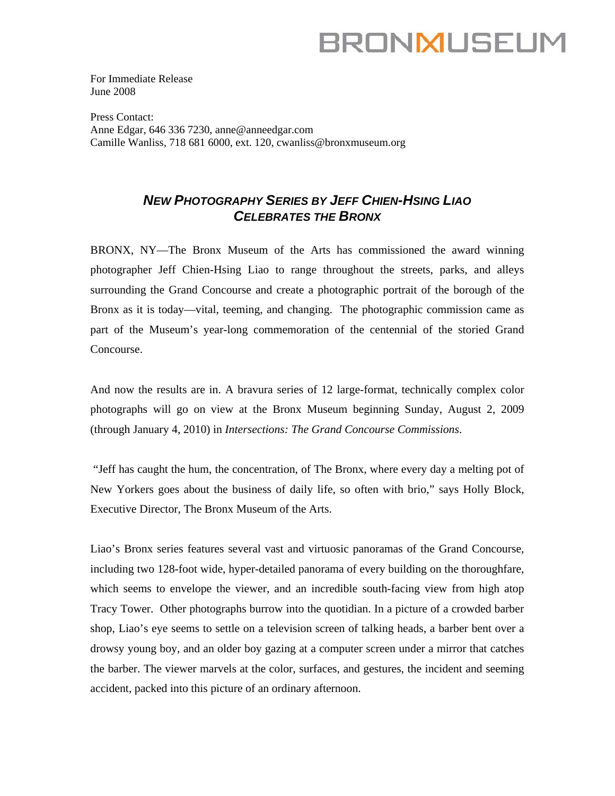# **BRONMUSEUM**

For Immediate Release June 2008

Press Contact: Anne Edgar, 646 336 7230, [anne@anneedgar.com](mailto:anne@anneedgar.com)  Camille Wanliss, 718 681 6000, ext. 120, cwanliss@bronxmuseum.org

## *NEW PHOTOGRAPHY SERIES BY JEFF CHIEN-HSING LIAO CELEBRATES THE BRONX*

BRONX, NY—The Bronx Museum of the Arts has commissioned the award winning photographer Jeff Chien-Hsing Liao to range throughout the streets, parks, and alleys surrounding the Grand Concourse and create a photographic portrait of the borough of the Bronx as it is today—vital, teeming, and changing. The photographic commission came as part of the Museum's year-long commemoration of the centennial of the storied Grand Concourse.

And now the results are in. A bravura series of 12 large-format, technically complex color photographs will go on view at the Bronx Museum beginning Sunday, August 2, 2009 (through January 4, 2010) in *Intersections: The Grand Concourse Commissions*.

 "Jeff has caught the hum, the concentration, of The Bronx, where every day a melting pot of New Yorkers goes about the business of daily life, so often with brio," says Holly Block, Executive Director, The Bronx Museum of the Arts.

Liao's Bronx series features several vast and virtuosic panoramas of the Grand Concourse, including two 128-foot wide, hyper-detailed panorama of every building on the thoroughfare, which seems to envelope the viewer, and an incredible south-facing view from high atop Tracy Tower. Other photographs burrow into the quotidian. In a picture of a crowded barber shop, Liao's eye seems to settle on a television screen of talking heads, a barber bent over a drowsy young boy, and an older boy gazing at a computer screen under a mirror that catches the barber. The viewer marvels at the color, surfaces, and gestures, the incident and seeming accident, packed into this picture of an ordinary afternoon.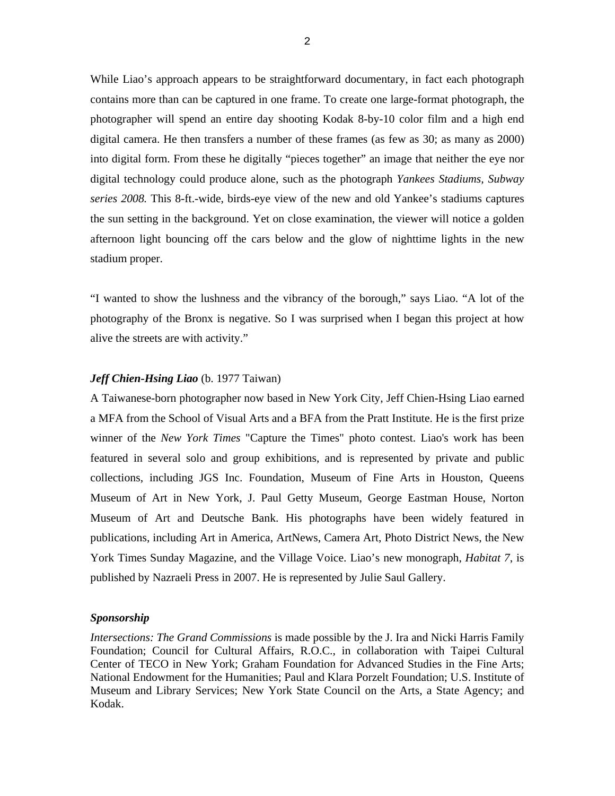While Liao's approach appears to be straightforward documentary, in fact each photograph contains more than can be captured in one frame. To create one large-format photograph, the photographer will spend an entire day shooting Kodak 8-by-10 color film and a high end digital camera. He then transfers a number of these frames (as few as 30; as many as 2000) into digital form. From these he digitally "pieces together" an image that neither the eye nor digital technology could produce alone, such as the photograph *Yankees Stadiums, Subway series 2008.* This 8-ft.-wide, birds-eye view of the new and old Yankee's stadiums captures the sun setting in the background. Yet on close examination, the viewer will notice a golden afternoon light bouncing off the cars below and the glow of nighttime lights in the new stadium proper.

"I wanted to show the lushness and the vibrancy of the borough," says Liao. "A lot of the photography of the Bronx is negative. So I was surprised when I began this project at how alive the streets are with activity."

#### *Jeff Chien-Hsing Liao* (b. 1977 Taiwan)

A Taiwanese-born photographer now based in New York City, Jeff Chien-Hsing Liao earned a MFA from the School of Visual Arts and a BFA from the Pratt Institute. He is the first prize winner of the *New York Times* "Capture the Times" photo contest. Liao's work has been featured in several solo and group exhibitions, and is represented by private and public collections, including JGS Inc. Foundation, Museum of Fine Arts in Houston, Queens Museum of Art in New York, J. Paul Getty Museum, George Eastman House, Norton Museum of Art and Deutsche Bank. His photographs have been widely featured in publications, including Art in America, ArtNews, Camera Art, Photo District News, the New York Times Sunday Magazine, and the Village Voice. Liao's new monograph, *Habitat 7*, is published by Nazraeli Press in 2007. He is represented by Julie Saul Gallery.

#### *Sponsorship*

*Intersections: The Grand Commissions* is made possible by the J. Ira and Nicki Harris Family Foundation; Council for Cultural Affairs, R.O.C., in collaboration with Taipei Cultural Center of TECO in New York; Graham Foundation for Advanced Studies in the Fine Arts; National Endowment for the Humanities; Paul and Klara Porzelt Foundation; U.S. Institute of Museum and Library Services; New York State Council on the Arts, a State Agency; and Kodak.